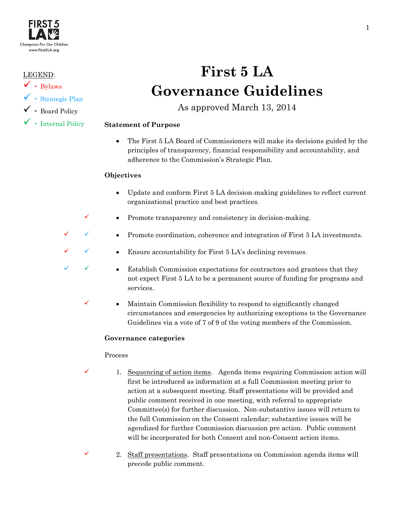

# LEGEND:

- $\checkmark$  Bylaws
- $\checkmark$  Strategic Plan
- $\checkmark\,$  Board Policy
- $\checkmark$  Internal Policy

# **First 5 LA Governance Guidelines**

As approved March 13, 2014

# **Statement of Purpose**

• The First 5 LA Board of Commissioners will make its decisions guided by the principles of transparency, financial responsibility and accountability, and adherence to the Commission's Strategic Plan.

# **Objectives**

- Update and conform First 5 LA decision-making guidelines to reflect current organizational practice and best practices.
- $\checkmark$  Promote transparency and consistency in decision-making.
	- Promote coordination, coherence and integration of First 5 LA investments.
	- Ensure accountability for First 5 LA's declining revenues.
	- • Establish Commission expectations for contractors and grantees that they not expect First 5 LA to be a permanent source of funding for programs and services.
	- Maintain Commission flexibility to respond to significantly changed circumstances and emergencies by authorizing exceptions to the Governance Guidelines via a vote of 7 of 9 of the voting members of the Commission.

# **Governance categories**

# Process

- $\checkmark$  1. Sequencing of action items. Agenda items requiring Commission action will first be introduced as information at a full Commission meeting prior to action at a subsequent meeting. Staff presentations will be provided and public comment received in one meeting, with referral to appropriate Committee(s) for further discussion. Non-substantive issues will return to the full Commission on the Consent calendar; substantive issues will be agendized for further Commission discussion pre action. Public comment will be incorporated for both Consent and non-Consent action items.
- $\checkmark$  2. Staff presentations. Staff presentations on Commission agenda items will precede public comment.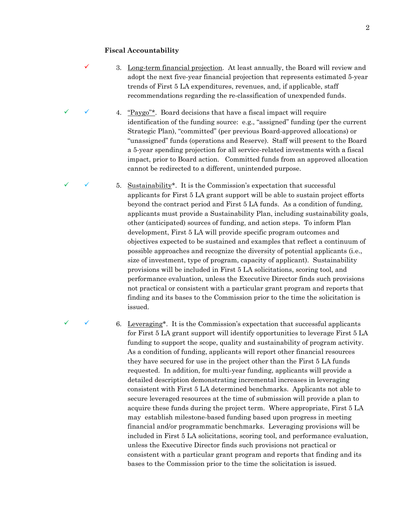#### **Fiscal Accountability**

- 3. Long-term financial projection. At least annually, the Board will review and adopt the next five-year financial projection that represents estimated 5-year trends of First 5 LA expenditures, revenues, and, if applicable, staff recommendations regarding the re-classification of unexpended funds.
- 4. "Paygo"\*. Board decisions that have a fiscal impact will require identification of the funding source: e.g., "assigned" funding (per the current Strategic Plan), "committed" (per previous Board-approved allocations) or "unassigned" funds (operations and Reserve). Staff will present to the Board a 5-year spending projection for all service-related investments with a fiscal impact, prior to Board action. Committed funds from an approved allocation cannot be redirected to a different, unintended purpose.
- 5. Sustainability\*. It is the Commission's expectation that successful applicants for First 5 LA grant support will be able to sustain project efforts beyond the contract period and First 5 LA funds. As a condition of funding, applicants must provide a Sustainability Plan, including sustainability goals, other (anticipated) sources of funding, and action steps. To inform Plan development, First 5 LA will provide specific program outcomes and objectives expected to be sustained and examples that reflect a continuum of possible approaches and recognize the diversity of potential applicants (i.e., size of investment, type of program, capacity of applicant). Sustainability provisions will be included in First 5 LA solicitations, scoring tool, and performance evaluation, unless the Executive Director finds such provisions not practical or consistent with a particular grant program and reports that finding and its bases to the Commission prior to the time the solicitation is issued.

 6. Leveraging\*. It is the Commission's expectation that successful applicants for First 5 LA grant support will identify opportunities to leverage First 5 LA funding to support the scope, quality and sustainability of program activity. As a condition of funding, applicants will report other financial resources they have secured for use in the project other than the First 5 LA funds requested. In addition, for multi-year funding, applicants will provide a detailed description demonstrating incremental increases in leveraging consistent with First 5 LA determined benchmarks. Applicants not able to secure leveraged resources at the time of submission will provide a plan to acquire these funds during the project term. Where appropriate, First 5 LA may establish milestone-based funding based upon progress in meeting financial and/or programmatic benchmarks. Leveraging provisions will be included in First 5 LA solicitations, scoring tool, and performance evaluation, unless the Executive Director finds such provisions not practical or consistent with a particular grant program and reports that finding and its bases to the Commission prior to the time the solicitation is issued.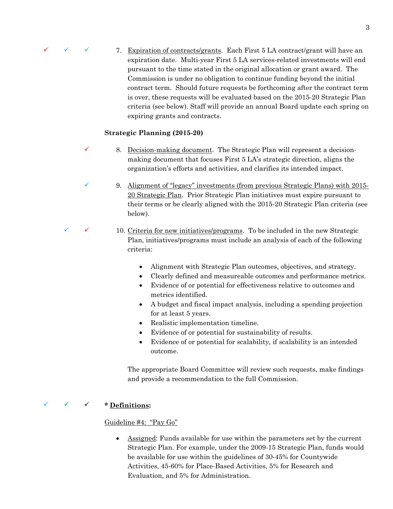

 $\checkmark$  7. Expiration of contracts/grants. Each First 5 LA contract/grant will have an expiration date. Multi-year First 5 LA services-related investments will end pursuant to the time stated in the original allocation or grant award. The Commission is under no obligation to continue funding beyond the initial contract term. Should future requests be forthcoming after the contract term is over, these requests will be evaluated based on the 2015-20 Strategic Plan criteria (see below). Staff will provide an annual Board update each spring on expiring grants and contracts.

# **Strategic Planning (2015-20)**

- $\checkmark$  8. Decision-making document. The Strategic Plan will represent a decisionmaking document that focuses First 5 LA's strategic direction, aligns the organization's efforts and activities, and clarifies its intended impact.
	- 9. Alignment of "legacy" investments (from previous Strategic Plans) with 2015- 20 Strategic Plan. Prior Strategic Plan initiatives must expire pursuant to their terms or be clearly aligned with the 2015-20 Strategic Plan criteria (see below).
- $\checkmark$  10. Criteria for new initiatives/programs. To be included in the new Strategic Plan, initiatives/programs must include an analysis of each of the following criteria:
	- Alignment with Strategic Plan outcomes, objectives, and strategy.
	- Clearly defined and measureable outcomes and performance metrics.
	- Evidence of or potential for effectiveness relative to outcomes and metrics identified.
	- A budget and fiscal impact analysis, including a spending projection for at least 5 years.
	- Realistic implementation timeline.
	- Evidence of or potential for sustainability of results.
	- Evidence of or potential for scalability, if scalability is an intended outcome.

The appropriate Board Committee will review such requests, make findings and provide a recommendation to the full Commission.

# **\* Definitions:**

# Guideline #4: "Pay Go"

• Assigned: Funds available for use within the parameters set by the current Strategic Plan. For example, under the 2009-15 Strategic Plan, funds would be available for use within the guidelines of 30-45% for Countywide Activities, 45-60% for Place-Based Activities, 5% for Research and Evaluation, and 5% for Administration.